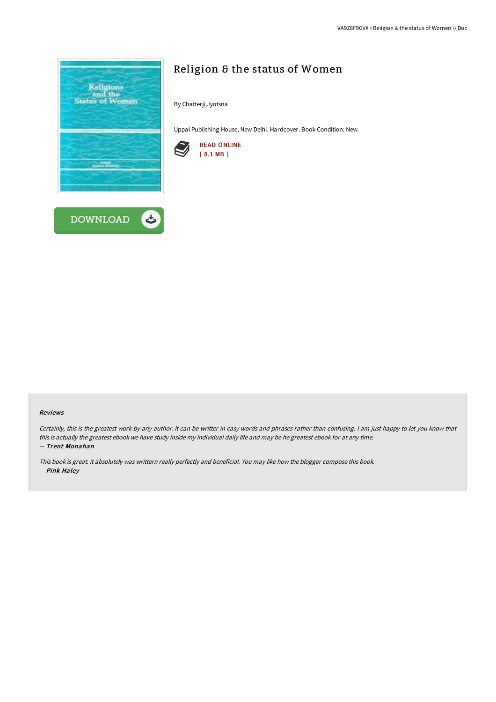

# Religion & the status of Women

By Chatterji,Jyotsna

Uppal Publishing House, New Delhi. Hardcover. Book Condition: New.



#### Reviews

Certainly, this is the greatest work by any author. It can be writter in easy words and phrases rather than confusing. <sup>I</sup> am just happy to let you know that this is actually the greatest ebook we have study inside my individual daily life and may be he greatest ebook for at any time. -- Trent Monahan

This book is great. it absolutely was writtern really perfectly and beneficial. You may like how the blogger compose this book. -- Pink Haley